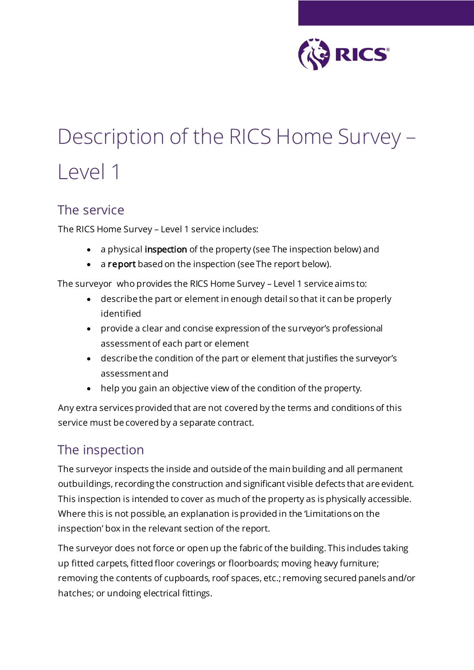

# Description of the RICS Home Survey – Level 1

#### The service

The RICS Home Survey – Level 1 service includes:

- a physical inspection of the property (see The inspection below) and
- a report based on the inspection (see The report below).

The surveyor who provides the RICS Home Survey – Level 1 service aims to:

- describe the part or element in enough detail so that it can be properly identified
- provide a clear and concise expression of the surveyor's professional assessment of each part or element
- describe the condition of the part or element that justifies the surveyor's assessment and
- help you gain an objective view of the condition of the property.

Any extra services provided that are not covered by the terms and conditions of this service must be covered by a separate contract.

#### The inspection

The surveyor inspects the inside and outside of the main building and all permanent outbuildings, recording the construction and significant visible defects that are evident. This inspection is intended to cover as much of the property as is physically accessible. Where this is not possible, an explanation is provided in the 'Limitations on the inspection' box in the relevant section of the report.

The surveyor does not force or open up the fabric of the building. This includes taking up fitted carpets, fitted floor coverings or floorboards; moving heavy furniture; removing the contents of cupboards, roof spaces, etc.; removing secured panels and/or hatches; or undoing electrical fittings.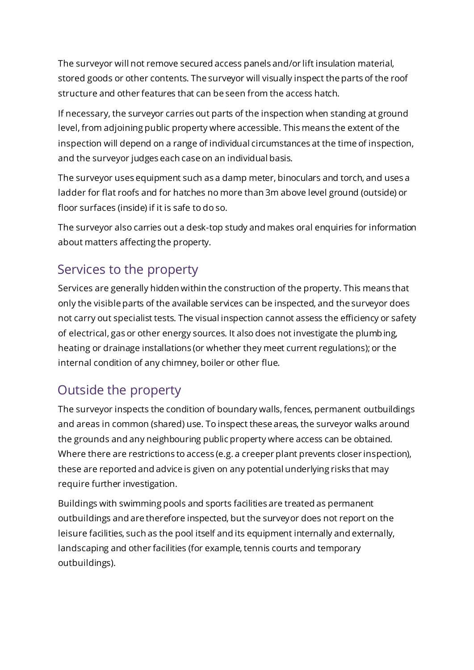The surveyor will not remove secured access panels and/or lift insulation material, stored goods or other contents. The surveyor will visually inspect the parts of the roof structure and other features that can be seen from the access hatch.

If necessary, the surveyor carries out parts of the inspection when standing at ground level, from adjoining public property where accessible. This means the extent of the inspection will depend on a range of individual circumstances at the time of inspection, and the surveyor judges each case on an individual basis.

The surveyor uses equipment such as a damp meter, binoculars and torch, and uses a ladder for flat roofs and for hatches no more than 3m above level ground (outside) or floor surfaces (inside) if it is safe to do so.

The surveyor also carries out a desk-top study and makes oral enquiries for information about matters affecting the property.

#### Services to the property

Services are generally hidden within the construction of the property. This means that only the visible parts of the available services can be inspected, and the surveyor does not carry out specialist tests. The visual inspection cannot assess the efficiency or safety of electrical, gas or other energy sources. It also does not investigate the plumbing, heating or drainage installations (or whether they meet current regulations); or the internal condition of any chimney, boiler or other flue.

## Outside the property

The surveyor inspects the condition of boundary walls, fences, permanent outbuildings and areas in common (shared) use. To inspect these areas, the surveyor walks around the grounds and any neighbouring public property where access can be obtained. Where there are restrictions to access (e.g. a creeper plant prevents closer inspection), these are reported and advice is given on any potential underlying risks that may require further investigation.

Buildings with swimming pools and sports facilities are treated as permanent outbuildings and are therefore inspected, but the surveyor does not report on the leisure facilities, such as the pool itself and its equipment internally and externally, landscaping and other facilities (for example, tennis courts and temporary outbuildings).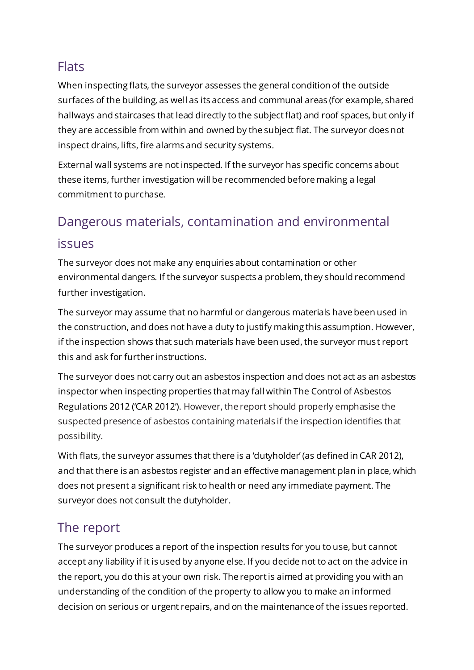#### **Flats**

When inspecting flats, the surveyor assesses the general condition of the outside surfaces of the building, as well as its access and communal areas (for example, shared hallways and staircases that lead directly to the subject flat) and roof spaces, but only if they are accessible from within and owned by the subject flat. The surveyor does not inspect drains, lifts, fire alarms and security systems.

External wall systems are not inspected. If the surveyor has specific concerns about these items, further investigation will be recommended before making a legal commitment to purchase.

## Dangerous materials, contamination and environmental

#### issues

The surveyor does not make any enquiries about contamination or other environmental dangers. If the surveyor suspects a problem, they should recommend further investigation.

The surveyor may assume that no harmful or dangerous materials have been used in the construction, and does not have a duty to justify making this assumption. However, if the inspection shows that such materials have been used, the surveyor must report this and ask for further instructions.

The surveyor does not carry out an asbestos inspection and does not act as an asbestos inspector when inspecting properties that may fall within The Control of Asbestos Regulations 2012 ('CAR 2012'). However, the report should properly emphasise the suspected presence of asbestos containing materials if the inspection identifies that possibility.

With flats, the surveyor assumes that there is a 'dutyholder' (as defined in CAR 2012), and that there is an asbestos register and an effective management plan in place, which does not present a significant risk to health or need any immediate payment. The surveyor does not consult the dutyholder.

#### The report

The surveyor produces a report of the inspection results for you to use, but cannot accept any liability if it is used by anyone else. If you decide not to act on the advice in the report, you do this at your own risk. The report is aimed at providing you with an understanding of the condition of the property to allow you to make an informed decision on serious or urgent repairs, and on the maintenance of the issues reported.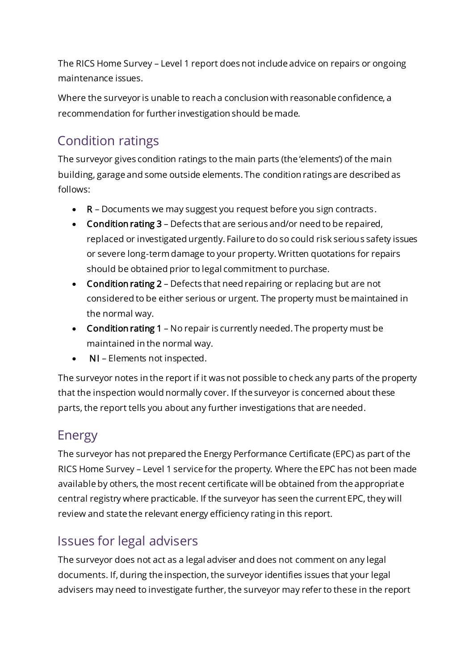The RICS Home Survey – Level 1 report does not include advice on repairs or ongoing maintenance issues.

Where the surveyor is unable to reach a conclusion with reasonable confidence, a recommendation for further investigation should be made.

## Condition ratings

The surveyor gives condition ratings to the main parts (the 'elements') of the main building, garage and some outside elements. The condition ratings are described as follows:

- R Documents we may suggest you request before you sign contracts.
- Condition rating 3 Defects that are serious and/or need to be repaired, replaced or investigated urgently. Failure to do so could risk serious safety issues or severe long-term damage to your property. Written quotations for repairs should be obtained prior to legal commitment to purchase.
- Condition rating 2 Defects that need repairing or replacing but are not considered to be either serious or urgent. The property must be maintained in the normal way.
- Condition rating 1 No repair is currently needed. The property must be maintained in the normal way.
- NI Elements not inspected.

The surveyor notes in the report if it was not possible to check any parts of the property that the inspection would normally cover. If the surveyor is concerned about these parts, the report tells you about any further investigations that are needed.

## Energy

The surveyor has not prepared the Energy Performance Certificate (EPC) as part of the RICS Home Survey – Level 1 service for the property. Where the EPC has not been made available by others, the most recent certificate will be obtained from the appropriate central registry where practicable. If the surveyor has seen the current EPC, they will review and state the relevant energy efficiency rating in this report.

#### Issues for legal advisers

The surveyor does not act as a legal adviser and does not comment on any legal documents. If, during the inspection, the surveyor identifies issues that your legal advisers may need to investigate further, the surveyor may refer to these in the report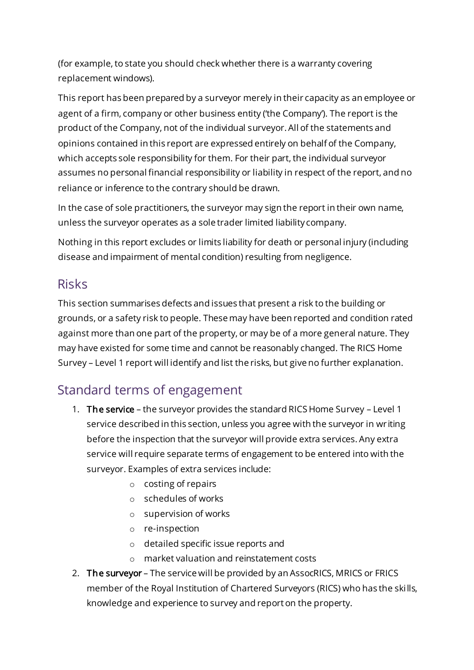(for example, to state you should check whether there is a warranty covering replacement windows).

This report has been prepared by a surveyor merely in their capacity as an employee or agent of a firm, company or other business entity ('the Company'). The report is the product of the Company, not of the individual surveyor. All of the statements and opinions contained in this report are expressed entirely on behalf of the Company, which accepts sole responsibility for them. For their part, the individual surveyor assumes no personal financial responsibility or liability in respect of the report, and no reliance or inference to the contrary should be drawn.

In the case of sole practitioners, the surveyor may sign the report in their own name, unless the surveyor operates as a sole trader limited liability company.

Nothing in this report excludes or limits liability for death or personal injury (including disease and impairment of mental condition) resulting from negligence.

#### Risks

This section summarises defects and issues that present a risk to the building or grounds, or a safety risk to people. These may have been reported and condition rated against more than one part of the property, or may be of a more general nature. They may have existed for some time and cannot be reasonably changed. The RICS Home Survey – Level 1 report will identify and list the risks, but give no further explanation.

#### Standard terms of engagement

- 1. The service the surveyor provides the standard RICS Home Survey Level 1 service described in this section, unless you agree with the surveyor in wr iting before the inspection that the surveyor will provide extra services. Any extra service will require separate terms of engagement to be entered into with the surveyor. Examples of extra services include:
	- o costing of repairs
	- o schedules of works
	- o supervision of works
	- o re-inspection
	- o detailed specific issue reports and
	- o market valuation and reinstatement costs
- 2. The surveyor The service will be provided by an AssocRICS, MRICS or FRICS member of the Royal Institution of Chartered Surveyors (RICS) who has the skills, knowledge and experience to survey and report on the property.